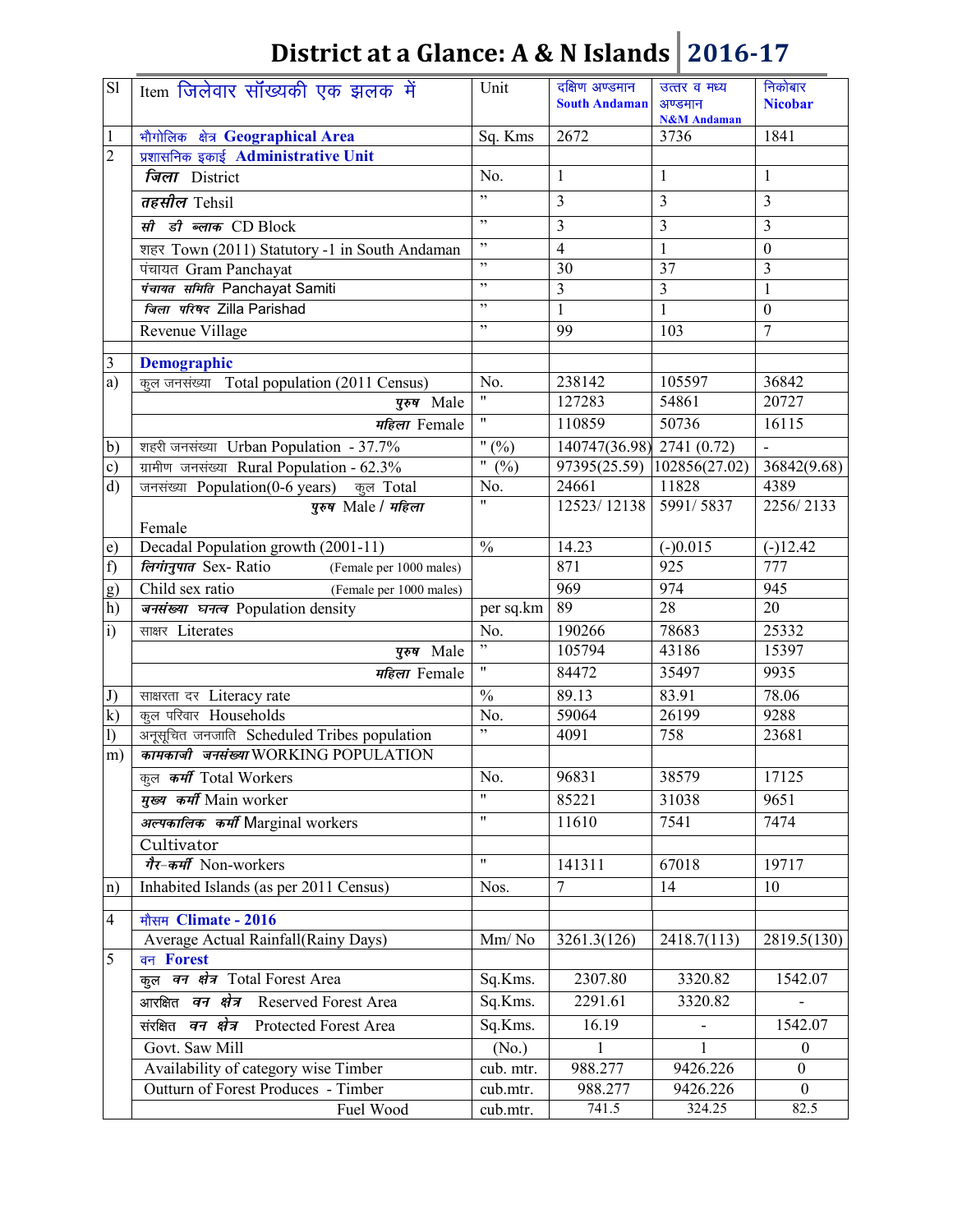| $\overline{sl}$ | Item जिलेवार सॉख्यकी एक झलक में                       | Unit                                       | दक्षिण अण्डमान<br><b>South Andaman</b> | उत्तर व मध्य<br>अण्डमान<br><b>N&amp;M</b> Andaman | निकोबार<br><b>Nicobar</b> |
|-----------------|-------------------------------------------------------|--------------------------------------------|----------------------------------------|---------------------------------------------------|---------------------------|
| $\mathbf{1}$    | भौगोलिक क्षेत्र Geographical Area                     | Sq. Kms                                    | 2672                                   | 3736                                              | 1841                      |
| $\overline{2}$  | प्रशासनिक इकाई Administrative Unit                    |                                            |                                        |                                                   |                           |
|                 | जिला District                                         | No.                                        | $\mathbf{1}$                           | $\mathbf{1}$                                      | $\mathbf{1}$              |
|                 | तहसील Tehsil                                          | , 1                                        | $\overline{3}$                         | 3                                                 | 3                         |
|                 | सी डी ब्लाक CD Block                                  | , 2, 3                                     | $\overline{\mathbf{3}}$                | 3                                                 | 3                         |
|                 | शहर Town (2011) Statutory -1 in South Andaman         | , ,                                        | $\overline{4}$                         | $\mathbf{1}$                                      | $\boldsymbol{0}$          |
|                 | पंचायत Gram Panchayat                                 | , ,                                        | 30                                     | 37                                                | $\overline{3}$            |
|                 | पंचायत समिति Panchayat Samiti                         | ,                                          | $\overline{3}$                         | $\overline{3}$                                    | $\mathbf{1}$              |
|                 | जिला परिषद Zilla Parishad                             | $\, , \,$                                  | $\overline{1}$                         | $\mathbf{1}$                                      | $\boldsymbol{0}$          |
|                 | Revenue Village                                       | , ,                                        | 99                                     | 103                                               | $\overline{7}$            |
| 3               | <b>Demographic</b>                                    |                                            |                                        |                                                   |                           |
| a)              | कुल जनसंख्या Total population (2011 Census)           | No.                                        | 238142                                 | 105597                                            | 36842                     |
|                 | पुरुष Male                                            | $\pmb{\mathsf{H}}$                         | 127283                                 | 54861                                             | 20727                     |
|                 | महिला Female                                          | $\pmb{\mathsf{H}}$                         | 110859                                 | 50736                                             | 16115                     |
| $\mathbf{b}$    | शहरी जनसंख्या Urban Population - 37.7%                | " $(0/0)$                                  | 140747(36.98) 2741 (0.72)              |                                                   |                           |
| c)              | ग्रामीण जनसंख्या Rural Population - 62.3%             | $\overline{\phantom{a}^{\prime\prime}$ (%) |                                        | 97395(25.59) 102856(27.02)                        | 36842(9.68)               |
| d)              | जनसंख्या Population(0-6 years) कुल Total              | No.                                        | 24661                                  | 11828                                             | 4389                      |
|                 | पुरुष Male / महिला                                    | $\overline{\mathbf{u}}$                    | 12523/12138                            | 5991/5837                                         | 2256/2133                 |
|                 | Female                                                |                                            |                                        |                                                   |                           |
| e)              | Decadal Population growth (2001-11)                   | $\frac{0}{0}$                              | 14.23                                  | $(-)0.015$                                        | $(-)12.42$                |
| f)              | <i>लिगानुपात Sex-Ratio</i><br>(Female per 1000 males) |                                            | 871                                    | 925                                               | $\overline{777}$          |
| g)              | Child sex ratio<br>(Female per 1000 males)            |                                            | 969                                    | 974                                               | 945                       |
| h)              | जनसंख्या घनत्व Population density                     | per sq.km                                  | 89                                     | $\overline{28}$                                   | 20                        |
| $\mathbf{i}$    | साक्षर Literates                                      | No.                                        | 190266                                 | 78683                                             | 25332                     |
|                 | पुरुष Male                                            | ,                                          | 105794                                 | 43186                                             | 15397                     |
|                 | महिला Female                                          | $\pmb{\mathsf{H}}$                         | 84472                                  | 35497                                             | 9935                      |
| J)              | साक्षरता दर Literacy rate                             | $\%$                                       | 89.13                                  | 83.91                                             | 78.06                     |
| $\mathbf{k}$    | कूल परिवार Households                                 | No.                                        | 59064                                  | 26199                                             | 9288                      |
| 1)              | अनूसूचित जनजाति Scheduled Tribes population           | ,                                          | 4091                                   | 758                                               | 23681                     |
| m)              | कामकाजी जनसंख्या WORKING POPULATION                   |                                            |                                        |                                                   |                           |
|                 | कुल कर्मी Total Workers                               | No.                                        | 96831                                  | 38579                                             | 17125                     |
|                 | मुख्य कर्मी Main worker                               | $\mathbf{H}$                               | 85221                                  | 31038                                             | 9651                      |
|                 | अल्पकालिक कर्मी Marginal workers                      | $\pmb{\mathsf{H}}$                         | 11610                                  | 7541                                              | 7474                      |
|                 | Cultivator                                            |                                            |                                        |                                                   |                           |
|                 | गैर-कर्मी Non-workers                                 | $\pmb{\mathsf{H}}$                         | 141311                                 | 67018                                             | 19717                     |
| n)              | Inhabited Islands (as per 2011 Census)                | Nos.                                       | $\overline{7}$                         | 14                                                | 10                        |
| 4               | मौसम Climate - 2016                                   |                                            |                                        |                                                   |                           |
|                 | Average Actual Rainfall(Rainy Days)                   | Mm/No                                      | 3261.3(126)                            | 2418.7(113)                                       | 2819.5(130)               |
| 5               | वन Forest                                             |                                            |                                        |                                                   |                           |
|                 | कुल वन क्षेत्र Total Forest Area                      | Sq.Kms.                                    | 2307.80                                | 3320.82                                           | 1542.07                   |
|                 | आरक्षित वन क्षेत्र Reserved Forest Area               | Sq.Kms.                                    | 2291.61                                | 3320.82                                           |                           |
|                 | संरक्षित वन क्षेत्र Protected Forest Area             | Sq.Kms.                                    | 16.19                                  |                                                   | 1542.07                   |
|                 | Govt. Saw Mill                                        | (No.)                                      |                                        | 1                                                 | $\boldsymbol{0}$          |
|                 | Availability of category wise Timber                  | cub. mtr.                                  | 988.277                                | 9426.226                                          | $\mathbf{0}$              |
|                 | Outturn of Forest Produces - Timber                   | cub.mtr.                                   | 988.277                                | 9426.226                                          | $\mathbf{0}$              |
|                 | Fuel Wood                                             | cub.mtr.                                   | 741.5                                  | 324.25                                            | 82.5                      |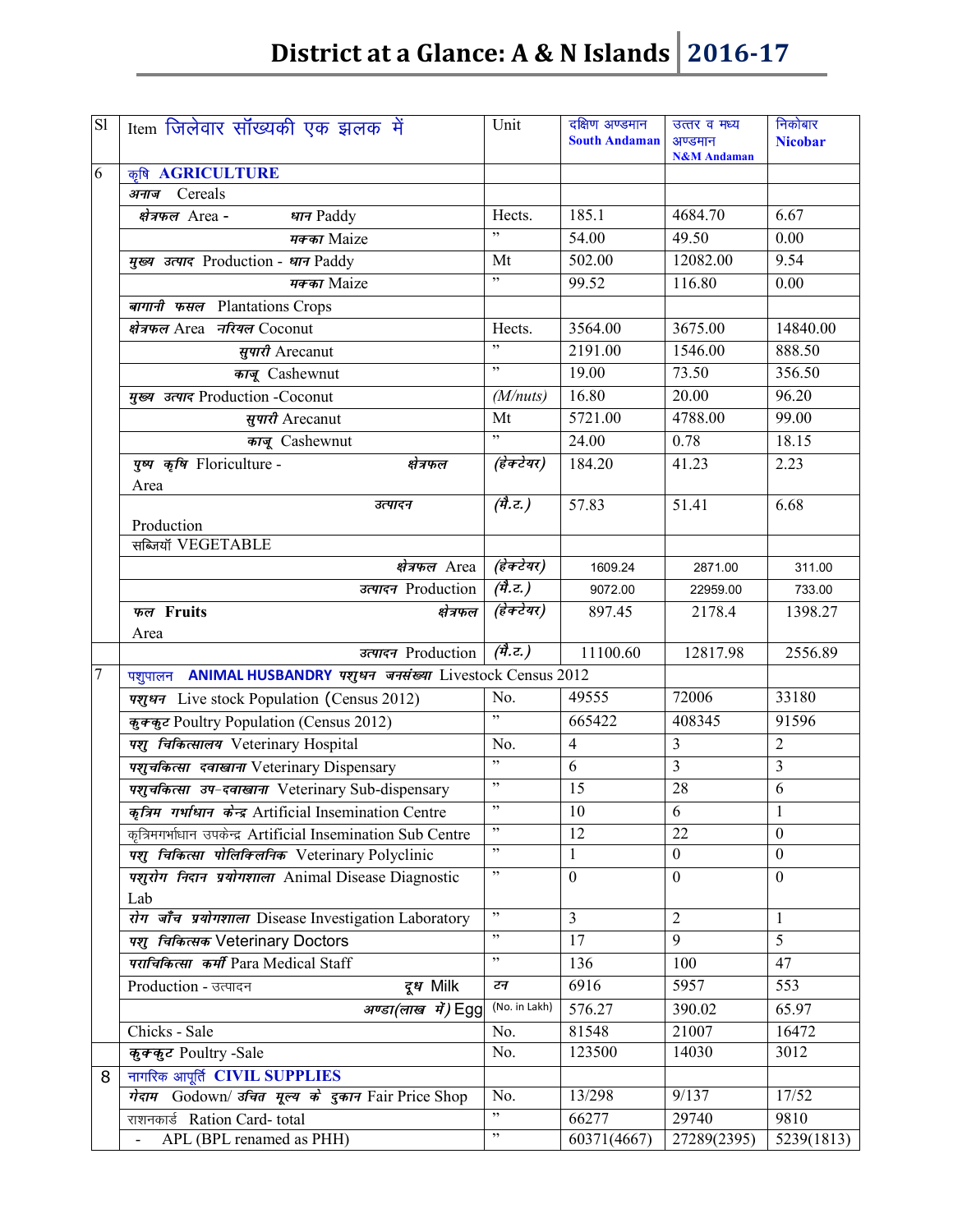| S1             | Item जिलेवार सॉंख्यकी एक झलक में                              | Unit                           | दक्षिण अण्डमान<br><b>South Andaman</b> | उत्तर व मध्य<br>अण्डमान<br><b>N&amp;M</b> Andaman | निकोबार<br><b>Nicobar</b> |
|----------------|---------------------------------------------------------------|--------------------------------|----------------------------------------|---------------------------------------------------|---------------------------|
| 6              | कृषि AGRICULTURE                                              |                                |                                        |                                                   |                           |
|                | अनाज Cereals                                                  |                                |                                        |                                                   |                           |
|                | क्षेत्रफल Area -<br>धान Paddy                                 | Hects.                         | 185.1                                  | 4684.70                                           | 6.67                      |
|                | मक्का Maize                                                   |                                | 54.00                                  | 49.50                                             | 0.00                      |
|                | मुख्य उत्पाद Production - धान Paddy                           | Mt                             | 502.00                                 | 12082.00                                          | 9.54                      |
|                | मक्का Maize                                                   | ,                              | 99.52                                  | 116.80                                            | 0.00                      |
|                | बागानी फसल Plantations Crops                                  |                                |                                        |                                                   |                           |
|                | क्षेत्रफल Area नरियल Coconut                                  | Hects.                         | 3564.00                                | 3675.00                                           | 14840.00                  |
|                | सुपारी Arecanut                                               | , ,                            | 2191.00                                | 1546.00                                           | 888.50                    |
|                | काजू Cashewnut                                                | , ,                            | 19.00                                  | 73.50                                             | 356.50                    |
|                | मुख्य उत्पाद Production -Coconut                              | (M/nuts)                       | 16.80                                  | 20.00                                             | 96.20                     |
|                | सूपारी Arecanut                                               | Mt                             | 5721.00                                | 4788.00                                           | 99.00                     |
|                | काजू Cashewnut                                                | , 2, 3                         | 24.00                                  | 0.78                                              | 18.15                     |
|                | पुष्प कृषि Floriculture -<br>क्षेत्रफल<br>Area                | (हेक्टेयर)                     | 184.20                                 | 41.23                                             | 2.23                      |
|                | उत्पादन<br>Production                                         | $\overline{(\vec{r},z)}$       | 57.83                                  | 51.41                                             | 6.68                      |
|                | सब्जियॉ VEGETABLE                                             |                                |                                        |                                                   |                           |
|                | क्षेत्रफल Area                                                | (हेक्टेयर)                     | 1609.24                                | 2871.00                                           | 311.00                    |
|                | उत्पादन Production                                            | $(\vec{r},\vec{c})$            | 9072.00                                | 22959.00                                          | 733.00                    |
|                | फल Fruits<br>क्षेत्रफल<br>Area                                | (हेक्टेयर)                     | 897.45                                 | 2178.4                                            | 1398.27                   |
|                | उत्पादन Production                                            | $\overline{(\vec{r},\vec{c})}$ | 11100.60                               | 12817.98                                          | 2556.89                   |
| $\overline{7}$ | पशुपालन ANIMAL HUSBANDRY पशुधन जनसंख्या Livestock Census 2012 |                                |                                        |                                                   |                           |
|                | पशुधन Live stock Population (Census 2012)                     | No.                            | 49555                                  | 72006                                             | 33180                     |
|                | कुक्कुट Poultry Population (Census 2012)                      | , 1                            | 665422                                 | 408345                                            | 91596                     |
|                | पशु चिकित्सालय Veterinary Hospital                            | No.                            | $\overline{4}$                         | $\overline{3}$                                    | $\overline{2}$            |
|                | पशुचकित्सा दवाखाना Veterinary Dispensary                      | ,                              | 6                                      | $\overline{3}$                                    | $\overline{3}$            |
|                | पशुचकित्सा उप-दवाखाना Veterinary Sub-dispensary               | , 2, 3                         | 15                                     | 28                                                | 6                         |
|                | कृत्रिम गर्भाधान केन्द्र Artificial Insemination Centre       | $, ,$                          | $\overline{10}$                        | $\overline{6}$                                    | $\mathbf 1$               |
|                | कृत्रिमगर्भाधान उपकेन्द्र Artificial Insemination Sub Centre  | $, ,$                          | 12                                     | 22                                                | $\theta$                  |
|                | पशु चिकित्सा पोलिक्लिनिक Veterinary Polyclinic                | , ,                            | 1                                      | $\mathbf{0}$                                      | $\boldsymbol{0}$          |
|                | पशुरोग निदान प्रयोगशाला Animal Disease Diagnostic<br>Lab      | $, \,$                         | $\mathbf{0}$                           | $\theta$                                          | $\mathbf{0}$              |
|                | रोग जाँच प्रयोगशाला Disease Investigation Laboratory          | $, ,$                          | 3                                      | $\overline{2}$                                    | 1                         |
|                | पशु चिकित्सक Veterinary Doctors                               | , 0                            | 17                                     | $\overline{9}$                                    | 5                         |
|                | पराचिकित्सा कर्मी Para Medical Staff                          | , ,                            | 136                                    | 100                                               | 47                        |
|                | दृ <i>ध</i> Milk<br>Production - उत्पादन                      | टन                             | 6916                                   | 5957                                              | 553                       |
|                | अण्डा(लाख में) Egg                                            | (No. in Lakh)                  | 576.27                                 | 390.02                                            | 65.97                     |
|                | Chicks - Sale                                                 | No.                            | 81548                                  | 21007                                             | 16472                     |
|                | कुक्कुट Poultry -Sale                                         | No.                            | 123500                                 | 14030                                             | 3012                      |
| 8              | नागरिक आपूर्ति CIVIL SUPPLIES                                 |                                |                                        |                                                   |                           |
|                | गेदाम Godown/ उचित मूल्य के दुकान Fair Price Shop             | No.                            | 13/298                                 | 9/137                                             | 17/52                     |
|                | राशनकार्ड Ration Card-total                                   | , ,                            | 66277                                  | 29740                                             | 9810                      |
|                | APL (BPL renamed as PHH)                                      | $, \,$                         | 60371(4667)                            | 27289(2395)                                       | 5239(1813)                |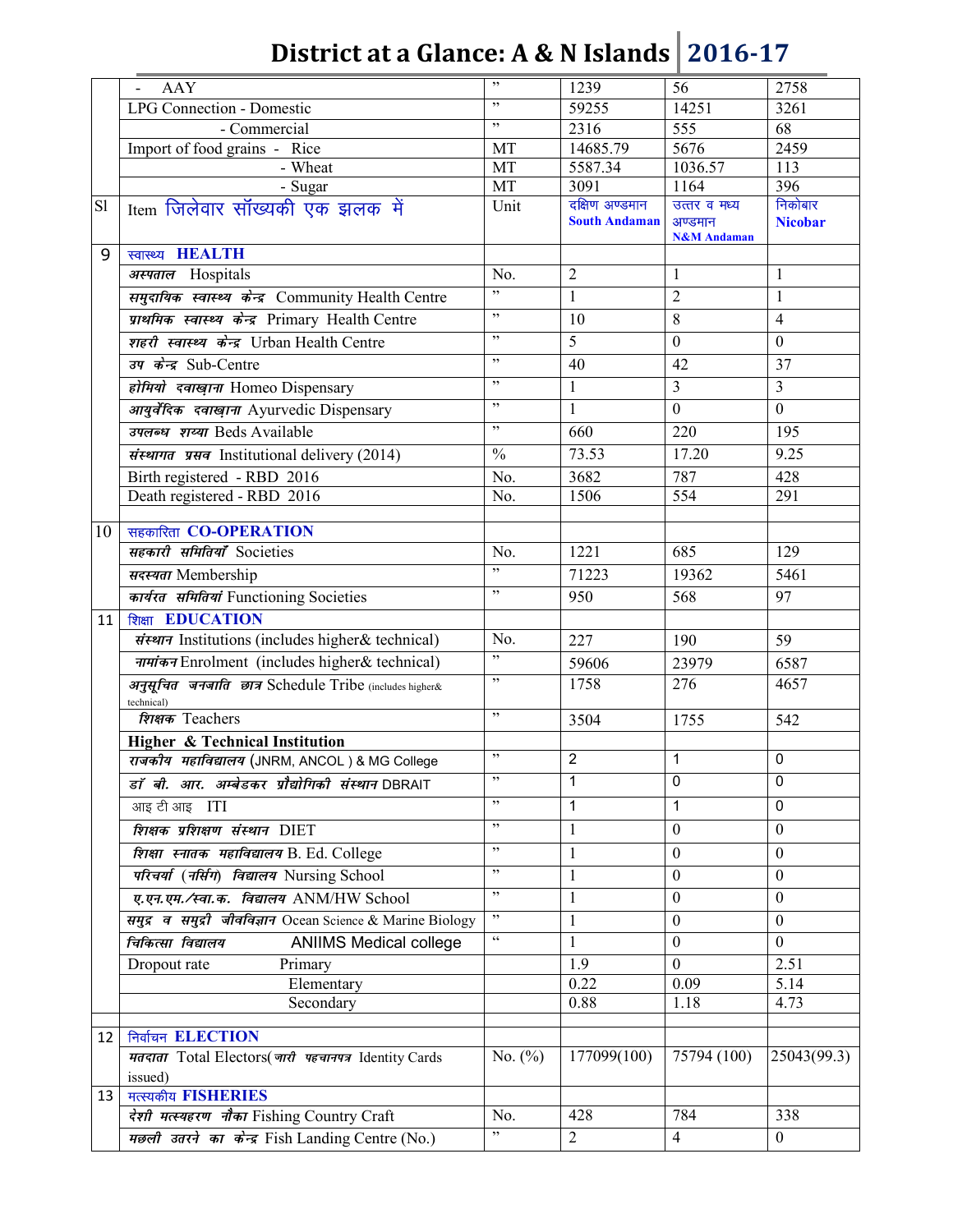|    | AAY                                                                  | , 2, 3         | 1239                 | 56                                | 2758                    |
|----|----------------------------------------------------------------------|----------------|----------------------|-----------------------------------|-------------------------|
|    | <b>LPG Connection - Domestic</b>                                     | $, ,$          | 59255                | 14251                             | 3261                    |
|    | - Commercial                                                         | , ,            | 2316                 | 555                               | 68                      |
|    | Import of food grains - Rice                                         | MT             | 14685.79             | 5676                              | 2459                    |
|    | - Wheat                                                              | MT             | 5587.34              | 1036.57                           | 113                     |
|    | - Sugar                                                              | MT             | 3091                 | 1164                              | 396                     |
| S1 | Item जिलेवार सॉख्यकी एक झलक में                                      | Unit           | दक्षिण अण्डमान       | उत्तर व मध्य                      | निकोबार                 |
|    |                                                                      |                | <b>South Andaman</b> | अण्डमान<br><b>N&amp;M</b> Andaman | <b>Nicobar</b>          |
| 9  | स्वास्थ्य <b>HEALTH</b>                                              |                |                      |                                   |                         |
|    | अस्पताल Hospitals                                                    | No.            | $\overline{2}$       | 1                                 | $\mathbf{1}$            |
|    | समुदायिक स्वास्थ्य केन्द्र Community Health Centre                   | ,              | $\mathbf{1}$         | $\overline{2}$                    | $\mathbf{1}$            |
|    | प्राथमिक स्वास्थ्य केन्द्र Primary Health Centre                     | , 0            | 10                   | 8                                 | $\overline{4}$          |
|    | शहरी स्वास्थ्य केन्द्र Urban Health Centre                           | , ,            | 5                    | $\mathbf{0}$                      | $\boldsymbol{0}$        |
|    | उप केन्द्र Sub-Centre                                                | , ,            | 40                   | 42                                | 37                      |
|    | होमियो दवाख़ाना Homeo Dispensary                                     | , 2, 3         | $\mathbf{1}$         | $\overline{3}$                    | $\overline{\mathbf{3}}$ |
|    |                                                                      | , 0            |                      | $\boldsymbol{0}$                  | $\boldsymbol{0}$        |
|    | आयुर्वेदिक दवाखाना Ayurvedic Dispensary                              | , ,            | $\mathbf{1}$         |                                   |                         |
|    | उपलब्ध शय्या Beds Available                                          |                | 660                  | 220                               | 195                     |
|    | संस्थागत प्रसव Institutional delivery (2014)                         | $\frac{0}{0}$  | 73.53                | 17.20                             | 9.25                    |
|    | Birth registered - RBD 2016                                          | No.            | 3682                 | 787                               | 428                     |
|    | Death registered - RBD 2016                                          | No.            | 1506                 | 554                               | 291                     |
| 10 | सहकारिता CO-OPERATION                                                |                |                      |                                   |                         |
|    | सहकारी समितियाँ Societies                                            | No.            | 1221                 | 685                               | 129                     |
|    | सदस्यता Membership                                                   | , ,            | 71223                | 19362                             | 5461                    |
|    |                                                                      | , 2, 3         | 950                  | 568                               | 97                      |
|    | कार्यरत समितियां Functioning Societies                               |                |                      |                                   |                         |
| 11 | शिक्षा EDUCATION                                                     |                |                      |                                   |                         |
|    | संस्थान Institutions (includes higher& technical)                    | No.<br>,       | 227                  | 190                               | 59                      |
|    | नामांकन Enrolment (includes higher& technical)                       | $, ,$          | 59606                | 23979                             | 6587                    |
|    | अनुसूचित जनजाति छात्र Schedule Tribe (includes higher&<br>technical) |                | 1758                 | 276                               | 4657                    |
|    | शिक्षक Teachers                                                      | , ,            | 3504                 | 1755                              | 542                     |
|    | <b>Higher &amp; Technical Institution</b>                            |                |                      |                                   |                         |
|    | राजकीय महाविद्यालय (JNRM, ANCOL) & MG College                        | , 2, 3         | $\overline{2}$       | 1                                 | $\pmb{0}$               |
|    | डॉ बी. आर. अम्बेडकर प्रौद्योगिकी संस्थान DBRAIT                      | $\mathbf{z}$   | 1                    | $\Omega$                          | 0                       |
|    | आइ टी आइ ITI                                                         | ,,             | 1                    | 1                                 | $\Omega$                |
|    | शिक्षक प्रशिक्षण संस्थान DIET                                        | , 0            | 1                    | $\boldsymbol{0}$                  | $\mathbf{0}$            |
|    | शिक्षा स्नातक महाविद्यालय B. Ed. College                             | , 2, 3         | 1                    | $\mathbf{0}$                      | $\boldsymbol{0}$        |
|    | परिचर्या (नर्सिग) विद्यालय Nursing School                            | $, \,$         | $\mathbf{1}$         | $\boldsymbol{0}$                  | $\boldsymbol{0}$        |
|    | ए.एन.एम./स्वा.क. विद्यालय ANM/HW School                              | , 0            | 1                    | $\mathbf{0}$                      | $\mathbf{0}$            |
|    |                                                                      | , 2, 3         |                      |                                   |                         |
|    | समुद्र व समुद्री जीवविज्ञान Ocean Science & Marine Biology           | $\zeta\,\zeta$ | $\mathbf{1}$         | $\overline{0}$                    | $\overline{0}$          |
|    | चिकित्सा विद्यालय<br><b>ANIIMS Medical college</b>                   |                | $\mathbf{1}$         | $\boldsymbol{0}$                  | $\mathbf{0}$            |
|    | Dropout rate<br>Primary                                              |                | 1.9                  | $\boldsymbol{0}$                  | 2.51                    |
|    | Elementary                                                           |                | 0.22<br>0.88         | 0.09<br>1.18                      | 5.14<br>4.73            |
|    | Secondary                                                            |                |                      |                                   |                         |
| 12 | निर्वाचन ELECTION                                                    |                |                      |                                   |                         |
|    | मतदाता Total Electors(जारी पहचानपत्र Identity Cards                  | No. $(\%)$     | 177099(100)          | 75794 (100)                       | 25043(99.3)             |
|    | issued)                                                              |                |                      |                                   |                         |
| 13 | मत्स्यकीय FISHERIES                                                  |                |                      |                                   |                         |
|    | देशी मत्स्यहरण नौका Fishing Country Craft                            | No.            | 428                  | 784                               | 338                     |
|    | मछली उतरने का केन्द्र Fish Landing Centre (No.)                      | $, \,$         | 2                    | 4                                 | $\mathbf{0}$            |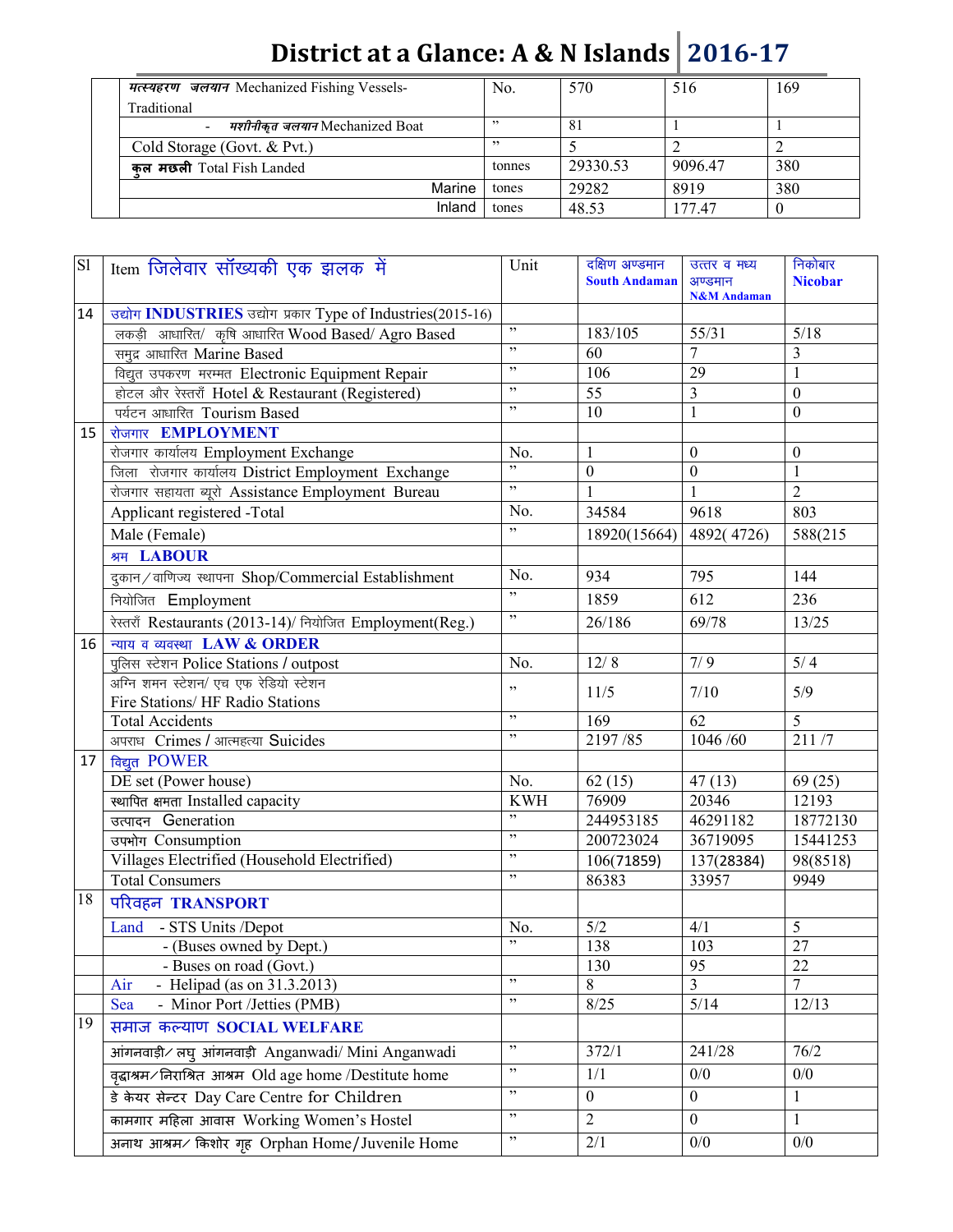| <i>मत्स्यहरण जलयान</i> Mechanized Fishing Vessels- | No.    | 570      | 516     | 169 |
|----------------------------------------------------|--------|----------|---------|-----|
| Traditional                                        |        |          |         |     |
| - <i>मशीनीकुत जलयान</i> Mechanized Boat            | , 7    | 81       |         |     |
| Cold Storage (Govt. & Pvt.)                        | 22     |          |         |     |
| कल मछली Total Fish Landed                          | tonnes | 29330.53 | 9096.47 | 380 |
| Marine                                             | tones  | 29282    | 8919    | 380 |
| Inland                                             | tones  | 48.53    | 177 47  |     |

| SI              | Item जिलेवार सॉख्यकी एक झलक में                             | Unit              | दक्षिण अण्डमान<br><b>South Andaman</b> | उत्तर व मध्य<br>अण्डमान<br><b>N&amp;M</b> Andaman | निकोबार<br><b>Nicobar</b> |
|-----------------|-------------------------------------------------------------|-------------------|----------------------------------------|---------------------------------------------------|---------------------------|
| 14              | उद्योग INDUSTRIES उद्योग प्रकार Type of Industries(2015-16) |                   |                                        |                                                   |                           |
|                 | लकड़ी आधारित/ कृषि आधारित Wood Based/ Agro Based            | ,                 | 183/105                                | 55/31                                             | $5/18$                    |
|                 | समुद्र आधारित Marine Based                                  | $\, , \,$         | 60                                     | $\overline{7}$                                    | 3                         |
|                 | विद्युत उपकरण मरम्मत Electronic Equipment Repair            | , ,               | 106                                    | 29                                                | $\mathbf{1}$              |
|                 | होटल और रेस्तराँ Hotel & Restaurant (Registered)            | $, \,$            | $\overline{55}$                        | $\overline{3}$                                    | $\boldsymbol{0}$          |
|                 | पर्यटन आधारित Tourism Based                                 | $, \,$            | 10                                     | $\mathbf{1}$                                      | $\mathbf{0}$              |
| 15              | रोजगार EMPLOYMENT                                           |                   |                                        |                                                   |                           |
|                 | रोजगार कार्यालय Employment Exchange                         | No.               | $\mathbf{1}$                           | $\boldsymbol{0}$                                  | $\boldsymbol{0}$          |
|                 | जिला रोजगार कार्यालय District Employment Exchange           | , ,               | $\boldsymbol{0}$                       | $\boldsymbol{0}$                                  | $\mathbf{1}$              |
|                 | रोजगार सहायता ब्यूरो Assistance Employment Bureau           | ,,                | 1                                      | $\mathbf{1}$                                      | $\overline{2}$            |
|                 | Applicant registered -Total                                 | No.               | 34584                                  | 9618                                              | 803                       |
|                 | Male (Female)                                               | ,                 | 18920(15664)                           | 4892(4726)                                        | 588(215                   |
|                 | श्रम LABOUR                                                 |                   |                                        |                                                   |                           |
|                 | दुकान/वाणिज्य स्थापना Shop/Commercial Establishment         | No.               | 934                                    | 795                                               | 144                       |
|                 | नियोजित Employment                                          | ,                 | 1859                                   | 612                                               | 236                       |
|                 | रेस्तराँ Restaurants (2013-14)/ नियोजित Employment(Reg.)    | $, ,$             | 26/186                                 | 69/78                                             | 13/25                     |
| 16              | न्याय व व्यवस्था LAW & ORDER                                |                   |                                        |                                                   |                           |
|                 | पुलिस स्टेशन Police Stations / outpost                      | No.               | 12/8                                   | 7/9                                               | $5/4$                     |
|                 | अग्नि शमन स्टेशन/ एच एफ रेडियो स्टेशन                       | ,,                | 11/5                                   | 7/10                                              | 5/9                       |
|                 | Fire Stations/ HF Radio Stations                            |                   |                                        |                                                   |                           |
|                 | <b>Total Accidents</b>                                      | $, ,$<br>$, ,$    | 169                                    | 62                                                | 5                         |
|                 | अपराध Crimes / आत्महत्या Suicides                           |                   | 2197/85                                | 1046/60                                           | 211/7                     |
| 17 <sup>1</sup> | विद्युत POWER                                               |                   |                                        |                                                   |                           |
|                 | DE set (Power house)                                        | No.               | 62(15)                                 | $\overline{47}$ (13)                              | 69(25)                    |
|                 | स्थापित क्षमता Installed capacity                           | <b>KWH</b><br>, , | 76909                                  | 20346                                             | 12193                     |
|                 | उत्पादन Generation                                          | $, ,$             | 244953185                              | 46291182                                          | 18772130                  |
|                 | उपभोग Consumption                                           | $, \,$            | 200723024                              | 36719095                                          | 15441253                  |
|                 | Villages Electrified (Household Electrified)                | , 2               | 106(71859)                             | 137(28384)                                        | 98(8518)                  |
|                 | <b>Total Consumers</b>                                      |                   | 86383                                  | 33957                                             | 9949                      |
| 18              | परिवहन TRANSPORT                                            |                   |                                        |                                                   |                           |
|                 | - STS Units /Depot<br>Land                                  | No.               | 5/2                                    | 4/1                                               | $\overline{5}$            |
|                 | - (Buses owned by Dept.)                                    | ,                 | 138                                    | 103                                               | 27                        |
|                 | - Buses on road (Govt.)                                     |                   | 130                                    | 95                                                | 22                        |
|                 | - Helipad (as on 31.3.2013)<br>Air                          | ,,<br>$, \,$      | 8                                      | 3                                                 | 7                         |
|                 | - Minor Port /Jetties (PMB)<br>Sea                          |                   | 8/25                                   | $5/14$                                            | 12/13                     |
| 19              | समाज कल्याण SOCIAL WELFARE                                  |                   |                                        |                                                   |                           |
|                 | आंगनवाड़ी / लघु आंगनवाड़ी Anganwadi/ Mini Anganwadi         | $, \,$            | 372/1                                  | 241/28                                            | 76/2                      |
|                 | वृद्धाश्रम/निराश्रित आश्रम Old age home /Destitute home     | $, \,$            | 1/1                                    | 0/0                                               | 0/0                       |
|                 | डे केयर सेन्टर Day Care Centre for Children                 | ,,                | $\boldsymbol{0}$                       | $\boldsymbol{0}$                                  | 1                         |
|                 | कामगार महिला आवास Working Women's Hostel                    | $, \,$            | $\overline{2}$                         | $\mathbf{0}$                                      | $\mathbf{1}$              |
|                 | अनाथ आश्रम∕ किशोर गृह Orphan Home/Juvenile Home             | $, \,$            | 2/1                                    | 0/0                                               | 0/0                       |